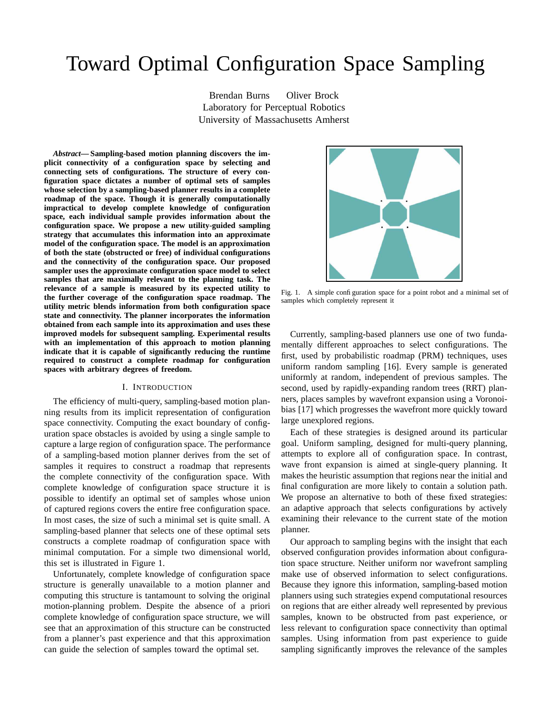# Toward Optimal Configuration Space Sampling

Brendan Burns Oliver Brock Laboratory for Perceptual Robotics University of Massachusetts Amherst

*Abstract***— Sampling-based motion planning discovers the implicit connectivity of a configuration space by selecting and connecting sets of configurations. The structure of every configuration space dictates a number of optimal sets of samples whose selection by a sampling-based planner results in a complete roadmap of the space. Though it is generally computationally impractical to develop complete knowledge of configuration space, each individual sample provides information about the configuration space. We propose a new utility-guided sampling strategy that accumulates this information into an approximate model of the configuration space. The model is an approximation of both the state (obstructed or free) of individual configurations and the connectivity of the configuration space. Our proposed sampler uses the approximate configuration space model to select samples that are maximally relevant to the planning task. The relevance of a sample is measured by its expected utility to the further coverage of the configuration space roadmap. The utility metric blends information from both configuration space state and connectivity. The planner incorporates the information obtained from each sample into its approximation and uses these improved models for subsequent sampling. Experimental results with an implementation of this approach to motion planning indicate that it is capable of significantly reducing the runtime required to construct a complete roadmap for configuration spaces with arbitrary degrees of freedom.**

#### I. INTRODUCTION

The efficiency of multi-query, sampling-based motion planning results from its implicit representation of configuration space connectivity. Computing the exact boundary of configuration space obstacles is avoided by using a single sample to capture a large region of configuration space. The performance of a sampling-based motion planner derives from the set of samples it requires to construct a roadmap that represents the complete connectivity of the configuration space. With complete knowledge of configuration space structure it is possible to identify an optimal set of samples whose union of captured regions covers the entire free configuration space. In most cases, the size of such a minimal set is quite small. A sampling-based planner that selects one of these optimal sets constructs a complete roadmap of configuration space with minimal computation. For a simple two dimensional world, this set is illustrated in Figure 1.

Unfortunately, complete knowledge of configuration space structure is generally unavailable to a motion planner and computing this structure is tantamount to solving the original motion-planning problem. Despite the absence of a priori complete knowledge of configuration space structure, we will see that an approximation of this structure can be constructed from a planner's past experience and that this approximation can guide the selection of samples toward the optimal set.



Fig. 1. A simple configuration space for a point robot and a minimal set of samples which completely represent it

Currently, sampling-based planners use one of two fundamentally different approaches to select configurations. The first, used by probabilistic roadmap (PRM) techniques, uses uniform random sampling [16]. Every sample is generated uniformly at random, independent of previous samples. The second, used by rapidly-expanding random trees (RRT) planners, places samples by wavefront expansion using a Voronoibias [17] which progresses the wavefront more quickly toward large unexplored regions.

Each of these strategies is designed around its particular goal. Uniform sampling, designed for multi-query planning, attempts to explore all of configuration space. In contrast, wave front expansion is aimed at single-query planning. It makes the heuristic assumption that regions near the initial and final configuration are more likely to contain a solution path. We propose an alternative to both of these fixed strategies: an adaptive approach that selects configurations by actively examining their relevance to the current state of the motion planner.

Our approach to sampling begins with the insight that each observed configuration provides information about configuration space structure. Neither uniform nor wavefront sampling make use of observed information to select configurations. Because they ignore this information, sampling-based motion planners using such strategies expend computational resources on regions that are either already well represented by previous samples, known to be obstructed from past experience, or less relevant to configuration space connectivity than optimal samples. Using information from past experience to guide sampling significantly improves the relevance of the samples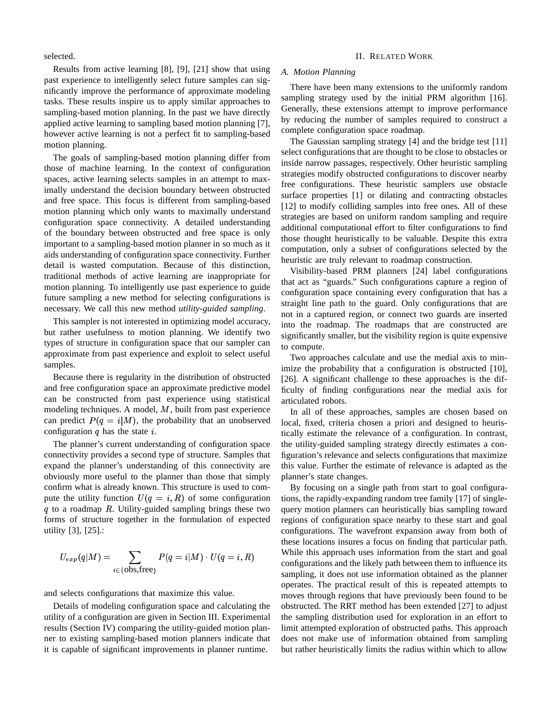selected.

Results from active learning [8], [9], [21] show that using past experience to intelligently select future samples can significantly improve the performance of approximate modeling tasks. These results inspire us to apply similar approaches to sampling-based motion planning. In the past we have directly applied active learning to sampling based motion planning [7], however active learning is not a perfect fit to sampling-based motion planning.

The goals of sampling-based motion planning differ from those of machine learning. In the context of configuration spaces, active learning selects samples in an attempt to maximally understand the decision boundary between obstructed and free space. This focus is different from sampling-based motion planning which only wants to maximally understand configuration space connectivity. A detailed understanding of the boundary between obstructed and free space is only important to a sampling-based motion planner in so much as it aids understanding of configuration space connectivity. Further detail is wasted computation. Because of this distinction, traditional methods of active learning are inappropriate for motion planning. To intelligently use past experience to guide future sampling a new method for selecting configurations is necessary. We call this new method *utility-guided sampling*.

This sampler is not interested in optimizing model accuracy, but rather usefulness to motion planning. We identify two types of structure in configuration space that our sampler can approximate from past experience and exploit to select useful samples.

Because there is regularity in the distribution of obstructed and free configuration space an approximate predictive model can be constructed from past experience using statistical modeling techniques. A model,  $M$ , built from past experience can predict  $P(q = i|M)$ , the probability that an unobserved configuration  $q$  has the state  $i$ .

The planner's current understanding of configuration space connectivity provides a second type of structure. Samples that expand the planner's understanding of this connectivity are obviously more useful to the planner than those that simply confirm what is already known. This structure is used to compute the utility function  $U(q = i, R)$  of some configuration q to a roadmap  $R$ . Utility-guided sampling brings these two forms of structure together in the formulation of expected utility [3], [25].:

$$
U_{exp}(q|M) = \sum_{i \in \{\text{obs}, \text{free}\}} P(q=i|M) \cdot U(q=i,R)
$$

and selects configurations that maximize this value.

Details of modeling configuration space and calculating the utility of a configuration are given in Section III. Experimental results (Section IV) comparing the utility-guided motion planner to existing sampling-based motion planners indicate that it is capable of significant improvements in planner runtime.

#### II. RELATED WORK

#### *A. Motion Planning*

There have been many extensions to the uniformly random sampling strategy used by the initial PRM algorithm [16]. Generally, these extensions attempt to improve performance by reducing the number of samples required to construct a complete configuration space roadmap.

The Gaussian sampling strategy [4] and the bridge test [11] select configurations that are thought to be close to obstacles or inside narrow passages, respectively. Other heuristic sampling strategies modify obstructed configurations to discover nearby free configurations. These heuristic samplers use obstacle surface properties [1] or dilating and contracting obstacles [12] to modify colliding samples into free ones. All of these strategies are based on uniform random sampling and require additional computational effort to filter configurations to find those thought heuristically to be valuable. Despite this extra computation, only a subset of configurations selected by the heuristic are truly relevant to roadmap construction.

Visibility-based PRM planners [24] label configurations that act as "guards." Such configurations capture a region of configuration space containing every configuration that has a straight line path to the guard. Only configurations that are not in a captured region, or connect two guards are inserted into the roadmap. The roadmaps that are constructed are significantly smaller, but the visibility region is quite expensive to compute.

Two approaches calculate and use the medial axis to minimize the probability that a configuration is obstructed [10], [26]. A significant challenge to these approaches is the difficulty of finding configurations near the medial axis for articulated robots.

In all of these approaches, samples are chosen based on local, fixed, criteria chosen a priori and designed to heuristically estimate the relevance of a configuration. In contrast, the utility-guided sampling strategy directly estimates a configuration's relevance and selects configurations that maximize this value. Further the estimate of relevance is adapted as the planner's state changes.

By focusing on a single path from start to goal configurations, the rapidly-expanding random tree family [17] of singlequery motion planners can heuristically bias sampling toward regions of configuration space nearby to these start and goal configurations. The wavefront expansion away from both of these locations insures a focus on finding that particular path. While this approach uses information from the start and goal configurations and the likely path between them to influence its sampling, it does not use information obtained as the planner operates. The practical result of this is repeated attempts to moves through regions that have previously been found to be obstructed. The RRT method has been extended [27] to adjust the sampling distribution used for exploration in an effort to limit attempted exploration of obstructed paths. This approach does not make use of information obtained from sampling but rather heuristically limits the radius within which to allow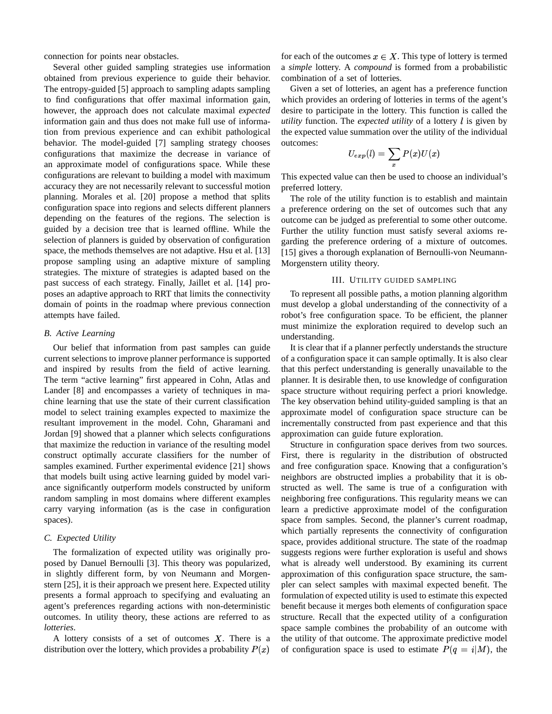connection for points near obstacles.

Several other guided sampling strategies use information obtained from previous experience to guide their behavior. The entropy-guided [5] approach to sampling adapts sampling to find configurations that offer maximal information gain, however, the approach does not calculate maximal *expected* information gain and thus does not make full use of information from previous experience and can exhibit pathological behavior. The model-guided [7] sampling strategy chooses configurations that maximize the decrease in variance of an approximate model of configurations space. While these configurations are relevant to building a model with maximum accuracy they are not necessarily relevant to successful motion planning. Morales et al. [20] propose a method that splits configuration space into regions and selects different planners depending on the features of the regions. The selection is guided by a decision tree that is learned offline. While the selection of planners is guided by observation of configuration space, the methods themselves are not adaptive. Hsu et al. [13] propose sampling using an adaptive mixture of sampling strategies. The mixture of strategies is adapted based on the past success of each strategy. Finally, Jaillet et al. [14] proposes an adaptive approach to RRT that limits the connectivity domain of points in the roadmap where previous connection attempts have failed.

# *B. Active Learning*

Our belief that information from past samples can guide current selections to improve planner performance is supported and inspired by results from the field of active learning. The term "active learning" first appeared in Cohn, Atlas and Lander [8] and encompasses a variety of techniques in machine learning that use the state of their current classification model to select training examples expected to maximize the resultant improvement in the model. Cohn, Gharamani and Jordan [9] showed that a planner which selects configurations that maximize the reduction in variance of the resulting model construct optimally accurate classifiers for the number of samples examined. Further experimental evidence [21] shows that models built using active learning guided by model variance significantly outperform models constructed by uniform random sampling in most domains where different examples carry varying information (as is the case in configuration spaces).

# *C. Expected Utility*

The formalization of expected utility was originally proposed by Danuel Bernoulli [3]. This theory was popularized, in slightly different form, by von Neumann and Morgenstern [25], it is their approach we present here. Expected utility presents a formal approach to specifying and evaluating an agent's preferences regarding actions with non-deterministic outcomes. In utility theory, these actions are referred to as *lotteries*.

A lottery consists of a set of outcomes  $X$ . There is a distribution over the lottery, which provides a probability  $P($ 

for each of the outcomes  $x \in X$ . This type of lottery is termed a *simple* lottery. A *compound* is formed from a probabilistic combination of a set of lotteries.

Given a set of lotteries, an agent has a preference function which provides an ordering of lotteries in terms of the agent's desire to participate in the lottery. This function is called the *utility* function. The *expected utility* of a lottery *l* is given by the expected value summation over the utility of the individual outcomes:

$$
U_{exp}(l)=\sum_x P(x)U(x)
$$

This expected value can then be used to choose an individual's preferred lottery.

The role of the utility function is to establish and maintain a preference ordering on the set of outcomes such that any outcome can be judged as preferential to some other outcome. Further the utility function must satisfy several axioms regarding the preference ordering of a mixture of outcomes. [15] gives a thorough explanation of Bernoulli-von Neumann-Morgenstern utility theory.

#### III. UTILITY GUIDED SAMPLING

To represent all possible paths, a motion planning algorithm must develop a global understanding of the connectivity of a robot's free configuration space. To be efficient, the planner must minimize the exploration required to develop such an understanding.

It is clear that if a planner perfectly understands the structure of a configuration space it can sample optimally. It is also clear that this perfect understanding is generally unavailable to the planner. It is desirable then, to use knowledge of configuration space structure without requiring perfect a priori knowledge. The key observation behind utility-guided sampling is that an approximate model of configuration space structure can be incrementally constructed from past experience and that this approximation can guide future exploration.

x) of configuration space is used to estimate  $P(q = i|M)$ , the Structure in configuration space derives from two sources. First, there is regularity in the distribution of obstructed and free configuration space. Knowing that a configuration's neighbors are obstructed implies a probability that it is obstructed as well. The same is true of a configuration with neighboring free configurations. This regularity means we can learn a predictive approximate model of the configuration space from samples. Second, the planner's current roadmap, which partially represents the connectivity of configuration space, provides additional structure. The state of the roadmap suggests regions were further exploration is useful and shows what is already well understood. By examining its current approximation of this configuration space structure, the sampler can select samples with maximal expected benefit. The formulation of expected utility is used to estimate this expected benefit because it merges both elements of configuration space structure. Recall that the expected utility of a configuration space sample combines the probability of an outcome with the utility of that outcome. The approximate predictive model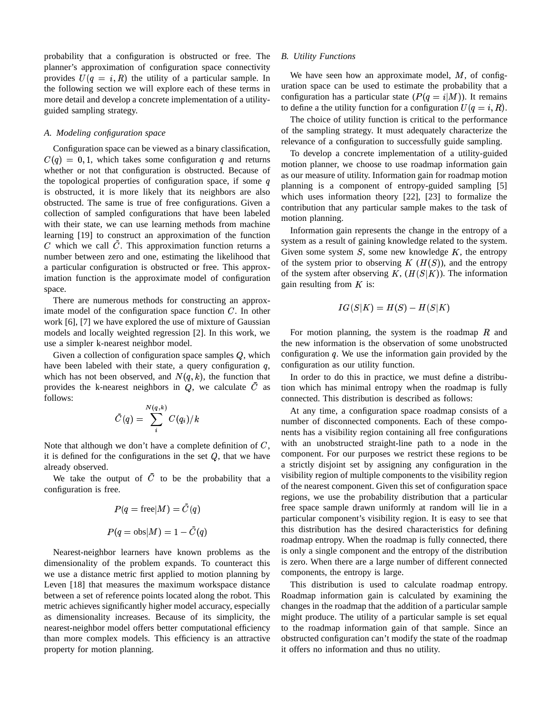probability that a configuration is obstructed or free. The planner's approximation of configuration space connectivity provides  $U(q = i, R)$  the utility of a particular sample. In the following section we will explore each of these terms in more detail and develop a concrete implementation of a utilityguided sampling strategy.

# *A. Modeling configuration space*

Configuration space can be viewed as a binary classification,  $C(q) = 0, 1$ , which takes some configuration q and returns whether or not that configuration is obstructed. Because of the topological properties of configuration space, if some  $q$ is obstructed, it is more likely that its neighbors are also obstructed. The same is true of free configurations. Given a collection of sampled configurations that have been labeled with their state, we can use learning methods from machine learning [19] to construct an approximation of the function  $C$  which we call  $C$ . This approximation function returns a number between zero and one, estimating the likelihood that a particular configuration is obstructed or free. This approximation function is the approximate model of configuration space.

There are numerous methods for constructing an approximate model of the configuration space function  $C$ . In other work [6], [7] we have explored the use of mixture of Gaussian models and locally weighted regression [2]. In this work, we use a simpler k-nearest neighbor model.

Given a collection of configuration space samples  $Q$ , which have been labeled with their state, a query configuration  $q$ , which has not been observed, and  $N(q, k)$ , the function that provides the k-nearest neighbors in  $Q$ , we calculate  $C$  as tion which follows:

$$
\tilde{C}(q) = \sum_i^{N(q,k)} C(q_i)/k
$$

Note that although we don't have a complete definition of  $C$ , with an ur it is defined for the configurations in the set  $Q$ , that we have already observed.

We take the output of  $C$  to be the probability that a configuration is free.

$$
P(q = \text{free}|M) = C(q)
$$
  

$$
P(q = \text{obs}|M) = 1 - \tilde{C}(q)
$$

Nearest-neighbor learners have known problems as the dimensionality of the problem expands. To counteract this we use a distance metric first applied to motion planning by Leven [18] that measures the maximum workspace distance between a set of reference points located along the robot. This metric achieves significantly higher model accuracy, especially as dimensionality increases. Because of its simplicity, the nearest-neighbor model offers better computational efficiency than more complex models. This efficiency is an attractive property for motion planning.

#### *B. Utility Functions*

We have seen how an approximate model,  $M$ , of configuration space can be used to estimate the probability that a configuration has a particular state  $(P(q = i|M))$ . It remains to define a the utility function for a configuration  $U(q = i, R)$ .

The choice of utility function is critical to the performance of the sampling strategy. It must adequately characterize the relevance of a configuration to successfully guide sampling.

To develop a concrete implementation of a utility-guided motion planner, we choose to use roadmap information gain as our measure of utility. Information gain for roadmap motion planning is a component of entropy-guided sampling [5] which uses information theory [22], [23] to formalize the contribution that any particular sample makes to the task of motion planning.

Information gain represents the change in the entropy of a system as a result of gaining knowledge related to the system. Given some system  $S$ , some new knowledge  $K$ , the entropy of the system prior to observing  $K(H(S))$ , and the entropy of the system after observing K,  $(H(S|K))$ . The information gain resulting from  $K$  is:

$$
IG(S|K) = H(S) - H(S|K)
$$

For motion planning, the system is the roadmap  $R$  and the new information is the observation of some unobstructed configuration  $q$ . We use the information gain provided by the configuration as our utility function.

In order to do this in practice, we must define a distribution which has minimal entropy when the roadmap is fully connected. This distribution is described as follows:

At any time, a configuration space roadmap consists of a number of disconnected components. Each of these components has a visibility region containing all free configurations with an unobstructed straight-line path to a node in the component. For our purposes we restrict these regions to be a strictly disjoint set by assigning any configuration in the visibility region of multiple components to the visibility region of the nearest component. Given this set of configuration space regions, we use the probability distribution that a particular free space sample drawn uniformly at random will lie in a particular component's visibility region. It is easy to see that this distribution has the desired characteristics for defining roadmap entropy. When the roadmap is fully connected, there is only a single component and the entropy of the distribution is zero. When there are a large number of different connected components, the entropy is large.

This distribution is used to calculate roadmap entropy. Roadmap information gain is calculated by examining the changes in the roadmap that the addition of a particular sample might produce. The utility of a particular sample is set equal to the roadmap information gain of that sample. Since an obstructed configuration can't modify the state of the roadmap it offers no information and thus no utility.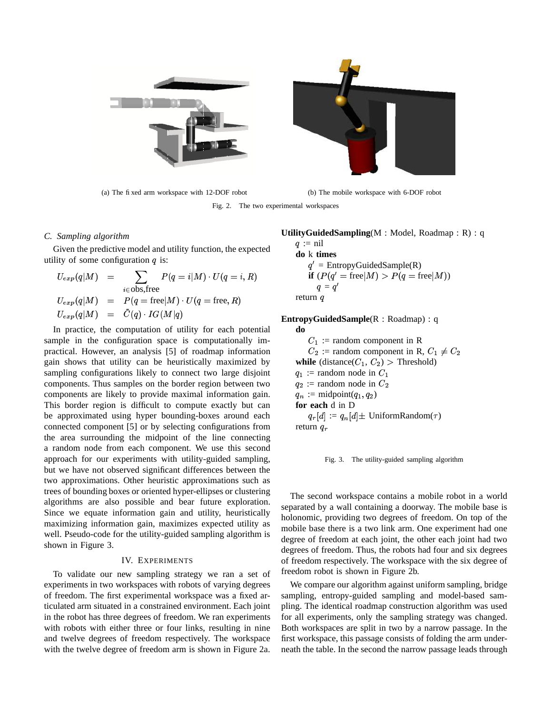



(a) The fixed arm workspace with 12-DOF robot (b) The mobile workspace with 6-DOF robot

Fig. 2. The two experimental workspaces

#### *C. Sampling algorithm*

Given the predictive model and utility function, the expected utility of some configuration  $q$  is:

$$
U_{exp}(q|M) = \sum_{i \in \text{obs,free}} P(q = i|M) \cdot U(q = i, R)
$$
  
\n
$$
U_{exp}(q|M) = P(q = \text{free}|M) \cdot U(q = \text{free, } R)
$$
  
\n
$$
U_{exp}(q|M) = \tilde{C}(q) \cdot IG(M|q)
$$

In practice, the computation of utility for each potential sample in the configuration space is computationally impractical. However, an analysis [5] of roadmap information gain shows that utility can be heuristically maximized by sampling configurations likely to connect two large disjoint components. Thus samples on the border region between two components are likely to provide maximal information gain. This border region is difficult to compute exactly but can be approximated using hyper bounding-boxes around each connected component [5] or by selecting configurations from the area surrounding the midpoint of the line connecting a random node from each component. We use this second approach for our experiments with utility-guided sampling, but we have not observed significant differences between the two approximations. Other heuristic approximations such as trees of bounding boxes or oriented hyper-ellipses or clustering algorithms are also possible and bear future exploration. Since we equate information gain and utility, heuristically maximizing information gain, maximizes expected utility as well. Pseudo-code for the utility-guided sampling algorithm is shown in Figure 3.

# IV. EXPERIMENTS

To validate our new sampling strategy we ran a set of experiments in two workspaces with robots of varying degrees of freedom. The first experimental workspace was a fixed articulated arm situated in a constrained environment. Each joint in the robot has three degrees of freedom. We ran experiments with robots with either three or four links, resulting in nine and twelve degrees of freedom respectively. The workspace with the twelve degree of freedom arm is shown in Figure 2a.

# **UtilityGuidedSampling**(M : Model, Roadmap : R) : q

 $q := \text{nil}$ **do** k **times**  $q'$  = EntropyGuidedSample(R) **if**  $(P(q' = \text{free}|M) > P(q = \text{free}|M))$  $q = q'$  $\sim$   $\sim$   $\sim$   $\sim$   $\sim$   $\sim$ return  $q$ 

**EntropyGuidedSample**(R : Roadmap) : q

**do**  $C_1$ : = random component in R  $C_2$ : = random component in R,  $C_1 \neq C_2$ **while** (distance( $C_1$ ,  $C_2$ ) > Threshold)  $q_1$  := random node in  $C_1$  $q_2$ : = random node in  $C_2$  $q_n := \text{midpoint}(q_1, q_2)$ **for each** d in D  $q_r[d] := q_n[d] \pm \text{UniformRandom}(\tau)$ return  $q_r$ 

Fig. 3. The utility-guided sampling algorithm

The second workspace contains a mobile robot in a world separated by a wall containing a doorway. The mobile base is holonomic, providing two degrees of freedom. On top of the mobile base there is a two link arm. One experiment had one degree of freedom at each joint, the other each joint had two degrees of freedom. Thus, the robots had four and six degrees of freedom respectively. The workspace with the six degree of freedom robot is shown in Figure 2b.

We compare our algorithm against uniform sampling, bridge sampling, entropy-guided sampling and model-based sampling. The identical roadmap construction algorithm was used for all experiments, only the sampling strategy was changed. Both workspaces are split in two by a narrow passage. In the first workspace, this passage consists of folding the arm underneath the table. In the second the narrow passage leads through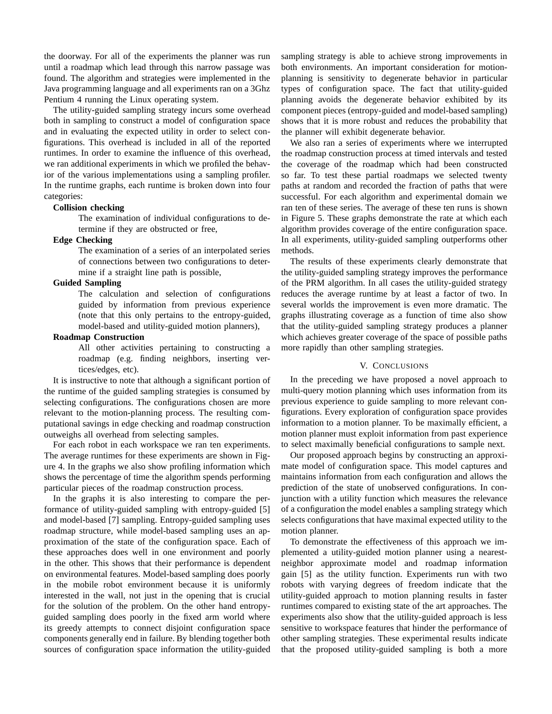the doorway. For all of the experiments the planner was run until a roadmap which lead through this narrow passage was found. The algorithm and strategies were implemented in the Java programming language and all experiments ran on a 3Ghz Pentium 4 running the Linux operating system.

The utility-guided sampling strategy incurs some overhead both in sampling to construct a model of configuration space and in evaluating the expected utility in order to select configurations. This overhead is included in all of the reported runtimes. In order to examine the influence of this overhead, we ran additional experiments in which we profiled the behavior of the various implementations using a sampling profiler. In the runtime graphs, each runtime is broken down into four categories:

# **Collision checking**

The examination of individual configurations to determine if they are obstructed or free,

#### **Edge Checking**

The examination of a series of an interpolated series of connections between two configurations to determine if a straight line path is possible,

# **Guided Sampling**

The calculation and selection of configurations guided by information from previous experience (note that this only pertains to the entropy-guided, model-based and utility-guided motion planners),

# **Roadmap Construction**

All other activities pertaining to constructing a roadmap (e.g. finding neighbors, inserting vertices/edges, etc).

It is instructive to note that although a significant portion of the runtime of the guided sampling strategies is consumed by selecting configurations. The configurations chosen are more relevant to the motion-planning process. The resulting computational savings in edge checking and roadmap construction outweighs all overhead from selecting samples.

For each robot in each workspace we ran ten experiments. The average runtimes for these experiments are shown in Figure 4. In the graphs we also show profiling information which shows the percentage of time the algorithm spends performing particular pieces of the roadmap construction process.

In the graphs it is also interesting to compare the performance of utility-guided sampling with entropy-guided [5] and model-based [7] sampling. Entropy-guided sampling uses roadmap structure, while model-based sampling uses an approximation of the state of the configuration space. Each of these approaches does well in one environment and poorly in the other. This shows that their performance is dependent on environmental features. Model-based sampling does poorly in the mobile robot environment because it is uniformly interested in the wall, not just in the opening that is crucial for the solution of the problem. On the other hand entropyguided sampling does poorly in the fixed arm world where its greedy attempts to connect disjoint configuration space components generally end in failure. By blending together both sources of configuration space information the utility-guided sampling strategy is able to achieve strong improvements in both environments. An important consideration for motionplanning is sensitivity to degenerate behavior in particular types of configuration space. The fact that utility-guided planning avoids the degenerate behavior exhibited by its component pieces (entropy-guided and model-based sampling) shows that it is more robust and reduces the probability that the planner will exhibit degenerate behavior.

We also ran a series of experiments where we interrupted the roadmap construction process at timed intervals and tested the coverage of the roadmap which had been constructed so far. To test these partial roadmaps we selected twenty paths at random and recorded the fraction of paths that were successful. For each algorithm and experimental domain we ran ten of these series. The average of these ten runs is shown in Figure 5. These graphs demonstrate the rate at which each algorithm provides coverage of the entire configuration space. In all experiments, utility-guided sampling outperforms other methods.

The results of these experiments clearly demonstrate that the utility-guided sampling strategy improves the performance of the PRM algorithm. In all cases the utility-guided strategy reduces the average runtime by at least a factor of two. In several worlds the improvement is even more dramatic. The graphs illustrating coverage as a function of time also show that the utility-guided sampling strategy produces a planner which achieves greater coverage of the space of possible paths more rapidly than other sampling strategies.

# V. CONCLUSIONS

In the preceding we have proposed a novel approach to multi-query motion planning which uses information from its previous experience to guide sampling to more relevant configurations. Every exploration of configuration space provides information to a motion planner. To be maximally efficient, a motion planner must exploit information from past experience to select maximally beneficial configurations to sample next.

Our proposed approach begins by constructing an approximate model of configuration space. This model captures and maintains information from each configuration and allows the prediction of the state of unobserved configurations. In conjunction with a utility function which measures the relevance of a configuration the model enables a sampling strategy which selects configurations that have maximal expected utility to the motion planner.

To demonstrate the effectiveness of this approach we implemented a utility-guided motion planner using a nearestneighbor approximate model and roadmap information gain [5] as the utility function. Experiments run with two robots with varying degrees of freedom indicate that the utility-guided approach to motion planning results in faster runtimes compared to existing state of the art approaches. The experiments also show that the utility-guided approach is less sensitive to workspace features that hinder the performance of other sampling strategies. These experimental results indicate that the proposed utility-guided sampling is both a more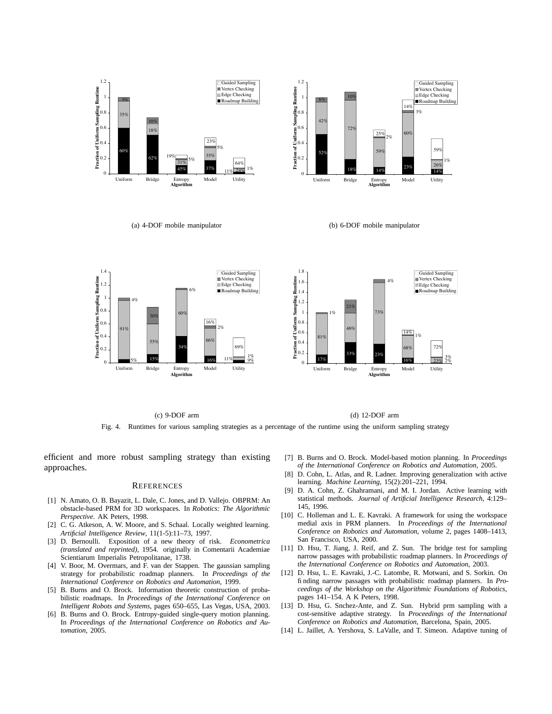

(c) 9-DOF arm (d) 12-DOF arm Fig. 4. Runtimes for various sampling strategies as a percentage of the runtime using the uniform sampling strategy

efficient and more robust sampling strategy than existing approaches.

#### **REFERENCES**

- [1] N. Amato, O. B. Bayazit, L. Dale, C. Jones, and D. Vallejo. OBPRM: An obstacle-based PRM for 3D workspaces. In *Robotics: The Algorithmic Perspective*. AK Peters, 1998.
- [2] C. G. Atkeson, A. W. Moore, and S. Schaal. Locally weighted learning. *Artificial Intelligence Review*, 11(1-5):11–73, 1997.
- [3] D. Bernoulli. Exposition of a new theory of risk. *Econometrica (translated and reprinted)*, 1954. originally in Comentarii Academiae Scientiarum Imperialis Petropolitanae, 1738.
- [4] V. Boor, M. Overmars, and F. van der Stappen. The gaussian sampling strategy for probabilistic roadmap planners. In *Proceedings of the International Conference on Robotics and Automation*, 1999.
- [5] B. Burns and O. Brock. Information theoretic construction of probabilistic roadmaps. In *Proceedings of the International Conference on Intelligent Robots and Systems*, pages 650–655, Las Vegas, USA, 2003.
- [6] B. Burns and O. Brock. Entropy-guided single-query motion planning. In *Proceedings of the International Conference on Robotics and Automation*, 2005.
- [7] B. Burns and O. Brock. Model-based motion planning. In *Proceedings of the International Conference on Robotics and Automation*, 2005.
- [8] D. Cohn, L. Atlas, and R. Ladner. Improving generalization with active learning. *Machine Learning*, 15(2):201–221, 1994.
- [9] D. A. Cohn, Z. Ghahramani, and M. I. Jordan. Active learning with statistical methods. *Journal of Artificial Intelligence Research*, 4:129– 145, 1996.
- [10] C. Holleman and L. E. Kavraki. A framework for using the workspace medial axis in PRM planners. In *Proceedings of the International Conference on Robotics and Automation*, volume 2, pages 1408–1413, San Francisco, USA, 2000.
- [11] D. Hsu, T. Jiang, J. Reif, and Z. Sun. The bridge test for sampling narrow passages with probabilistic roadmap planners. In *Proceedings of the International Conference on Robotics and Automation*, 2003.
- [12] D. Hsu, L. E. Kavraki, J.-C. Latombe, R. Motwani, and S. Sorkin. On finding narrow passages with probabilistic roadmap planners. In *Proceedings of the Workshop on the Algorithmic Foundations of Robotics*, pages 141–154. A K Peters, 1998.
- [13] D. Hsu, G. Snchez-Ante, and Z. Sun. Hybrid prm sampling with a cost-sensitive adaptive strategy. In *Proceedings of the International Conference on Robotics and Automation*, Barcelona, Spain, 2005.
- [14] L. Jaillet, A. Yershova, S. LaValle, and T. Simeon. Adaptive tuning of